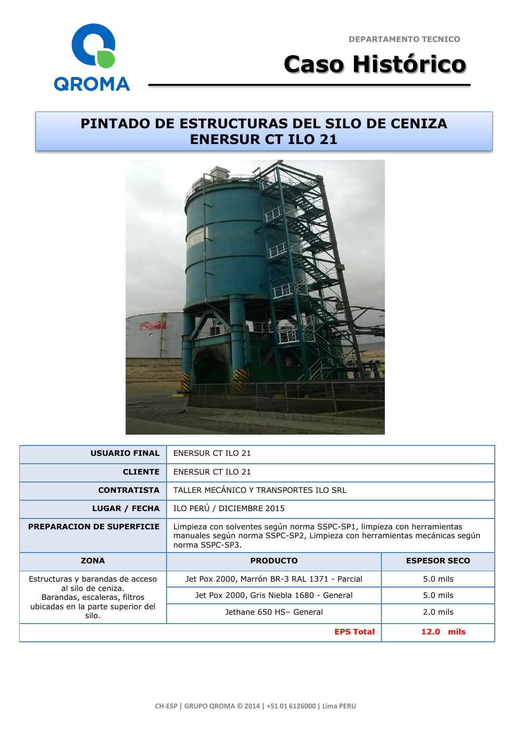**GROMA** 

**DEPARTAMENTO TECNICO**

**Caso Histórico**

## **PINTADO DE ESTRUCTURAS DEL SILO DE CENIZA ENERSUR CT ILO 21**



| <b>USUARIO FINAL</b>                               | ENERSUR CT ILO 21                                                                                                                                                     |                     |
|----------------------------------------------------|-----------------------------------------------------------------------------------------------------------------------------------------------------------------------|---------------------|
| <b>CLIENTE</b>                                     | <b>ENERSUR CT ILO 21</b>                                                                                                                                              |                     |
| <b>CONTRATISTA</b>                                 | TALLER MECÁNICO Y TRANSPORTES ILO SRL                                                                                                                                 |                     |
| <b>LUGAR / FECHA</b>                               | ILO PERÚ / DICIEMBRE 2015                                                                                                                                             |                     |
| <b>PREPARACION DE SUPERFICIE</b>                   | Limpieza con solventes según norma SSPC-SP1, limpieza con herramientas<br>manuales según norma SSPC-SP2, Limpieza con herramientas mecánicas según<br>norma SSPC-SP3. |                     |
| <b>ZONA</b>                                        | <b>PRODUCTO</b>                                                                                                                                                       | <b>ESPESOR SECO</b> |
| Estructuras y barandas de acceso                   | Jet Pox 2000, Marrón BR-3 RAL 1371 - Parcial                                                                                                                          | $5.0$ mils          |
|                                                    |                                                                                                                                                                       |                     |
| al silo de ceniza.<br>Barandas, escaleras, filtros | Jet Pox 2000, Gris Niebla 1680 - General                                                                                                                              | $5.0$ mils          |
| ubicadas en la parte superior del<br>silo.         | Jethane 650 HS- General                                                                                                                                               | $2.0$ mils          |